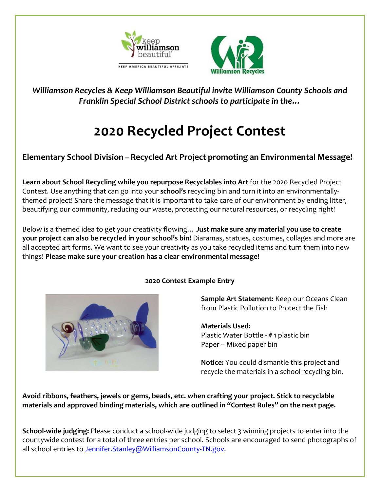



*Williamson Recycles & Keep Williamson Beautiful invite Williamson County Schools and Franklin Special School District schools to participate in the…*

# **2020 Recycled Project Contest**

### **Elementary School Division – Recycled Art Project promoting an Environmental Message!**

**Learn about School Recycling while you repurpose Recyclables into Art** for the 2020 Recycled Project Contest. Use anything that can go into your **school's** recycling bin and turn it into an environmentallythemed project! Share the message that it is important to take care of our environment by ending litter, beautifying our community, reducing our waste, protecting our natural resources, or recycling right!

Below is a themed idea to get your creativity flowing… **Just make sure any material you use to create your project can also be recycled in your school's bin!** Diaramas, statues, costumes, collages and more are all accepted art forms. We want to see your creativity as you take recycled items and turn them into new things! **Please make sure your creation has a clear environmental message!**



#### **2020 Contest Example Entry**

**Sample Art Statement:** Keep our Oceans Clean from Plastic Pollution to Protect the Fish

**Materials Used:**  Plastic Water Bottle - # 1 plastic bin Paper – Mixed paper bin

**Notice:** You could dismantle this project and recycle the materials in a school recycling bin.

**Avoid ribbons, feathers, jewels or gems, beads, etc. when crafting your project. Stick to recyclable materials and approved binding materials, which are outlined in "Contest Rules" on the next page.**

**School-wide judging:** Please conduct a school-wide judging to select 3 winning projects to enter into the countywide contest for a total of three entries per school. Schools are encouraged to send photographs of all school entries to Jennifer. Stanley@WilliamsonCounty-TN.gov.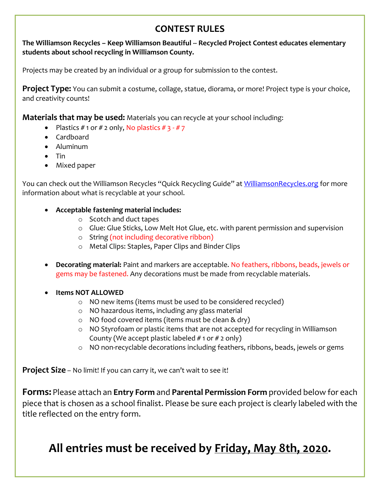# **CONTEST RULES**

**The Williamson Recycles – Keep Williamson Beautiful -- Recycled Project Contest educates elementary students about school recycling in Williamson County.**

Projects may be created by an individual or a group for submission to the contest.

**Project Type:** You can submit a costume, collage, statue, diorama, or more! Project type is your choice, and creativity counts!

**Materials that may be used:** Materials you can recycle at your school including:

- Plastics  $# 1$  or  $# 2$  only, No plastics  $# 3 # 7$
- Cardboard
- Aluminum
- $\bullet$  Tin
- Mixed paper

You can check out the Williamson Recycles "Quick Recycling Guide" at [WilliamsonRecycles.org](http://www.williamsonrecycles.org/) for more information about what is recyclable at your school.

#### **Acceptable fastening material includes:**

- o Scotch and duct tapes
- o Glue: Glue Sticks, Low Melt Hot Glue, etc. with parent permission and supervision
- o String (not including decorative ribbon)
- o Metal Clips: Staples, Paper Clips and Binder Clips
- **Decorating material:** Paint and markers are acceptable. No feathers, ribbons, beads, jewels or gems may be fastened. Any decorations must be made from recyclable materials.
- **Items NOT ALLOWED** 
	- o NO new items (items must be used to be considered recycled)
	- o NO hazardous items, including any glass material
	- o NO food covered items (items must be clean & dry)
	- o NO Styrofoam or plastic items that are not accepted for recycling in Williamson County (We accept plastic labeled  $# 1$  or  $# 2$  only)
	- o NO non-recyclable decorations including feathers, ribbons, beads, jewels or gems

**Project Size** – No limit! If you can carry it, we can't wait to see it!

**Forms:** Please attach an **Entry Form** and **Parental Permission Form** provided below for each piece that is chosen as a school finalist. Please be sure each project is clearly labeled with the title reflected on the entry form.

# **All entries must be received by Friday, May 8th, 2020.**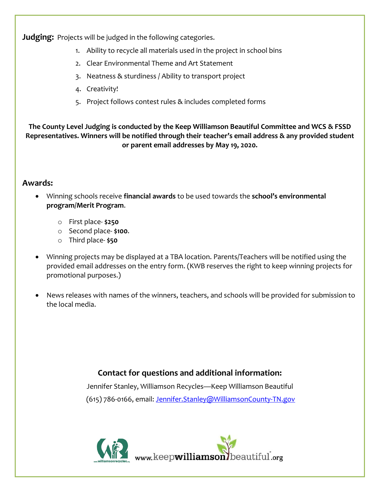**Judging:** Projects will be judged in the following categories.

- 1. Ability to recycle all materials used in the project in school bins
- 2. Clear Environmental Theme and Art Statement
- 3. Neatness & sturdiness / Ability to transport project
- 4. Creativity!
- 5. Project follows contest rules & includes completed forms

**The County Level Judging is conducted by the Keep Williamson Beautiful Committee and WCS & FSSD Representatives. Winners will be notified through their teacher's email address & any provided student or parent email addresses by May 19, 2020.**

#### **Awards:**

- Winning schools receive **financial awards** to be used towards the **school's environmental program/Merit Program**.
	- o First place- **\$250**
	- o Second place- **\$100**.
	- o Third place- **\$50**
- Winning projects may be displayed at a TBA location. Parents/Teachers will be notified using the provided email addresses on the entry form. (KWB reserves the right to keep winning projects for promotional purposes.)
- News releases with names of the winners, teachers, and schools will be provided for submission to the local media.

## **Contact for questions and additional information:**

Jennifer Stanley, Williamson Recycles—Keep Williamson Beautiful (615) 786-0166, email: Jennifer.Stanley@WilliamsonCounty-TN.gov

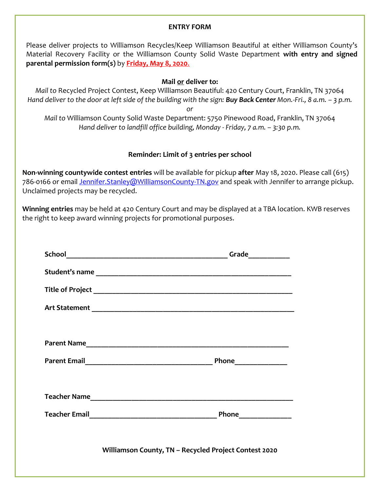#### **ENTRY FORM**

Please deliver projects to Williamson Recycles/Keep Williamson Beautiful at either Williamson County's Material Recovery Facility or the Williamson County Solid Waste Department **with entry and signed parental permission form(s)** by **Friday, May 8, 2020**.

#### **Mail or deliver to:**

*Mail to* Recycled Project Contest, Keep Williamson Beautiful: 420 Century Court, Franklin, TN 37064 *Hand deliver to the door at left side of the building with the sign: Buy Back Center Mon.-Fri., 8 a.m. – 3 p.m.*

*or*

*Mail to* Williamson County Solid Waste Department: 5750 Pinewood Road, Franklin, TN 37064 *Hand deliver to landfill office building, Monday - Friday, 7 a.m. – 3:30 p.m.*

#### **Reminder: Limit of 3 entries per school**

**Non-winning countywide contest entries** will be available for pickup **after** May 18, 2020. Please call (615) 786-0166 or email Jennifer.Stanley@WilliamsonCounty-TN.gov and speak with Jennifer to arrange pickup. Unclaimed projects may be recycled.

**Winning entries** may be held at 420 Century Court and may be displayed at a TBA location. KWB reserves the right to keep award winning projects for promotional purposes.

| Williamson County, TN - Recycled Project Contest 2020 |
|-------------------------------------------------------|